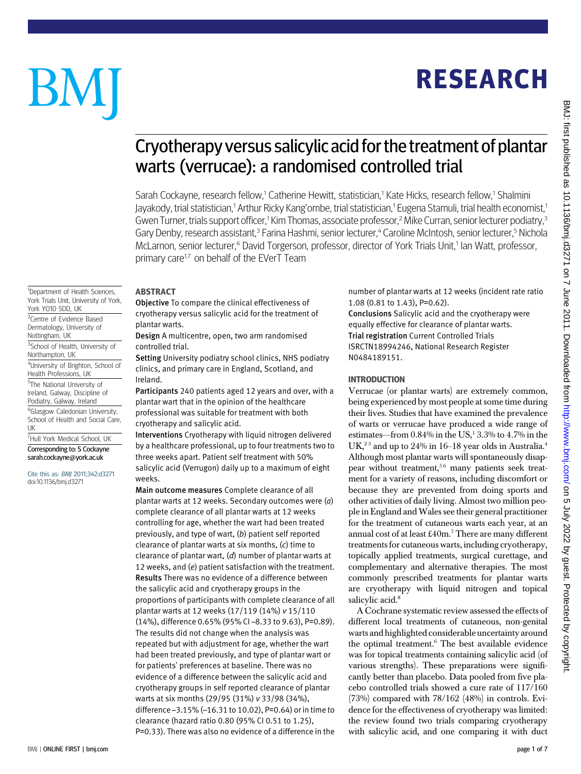## RESEARCH

# BM

<sup>1</sup>Department of Health Sciences, York Trials Unit, University of York,

<sup>3</sup>School of Health, University of

4University of Brighton, School of Health Professions, UK <sup>5</sup>The National University of Ireland, Galway, Discipline of Podiatry, Galway, Ireland 6 Glasgow Caledonian University, School of Health and Social Care,

<sup>7</sup>Hull York Medical School, UK Corresponding to: S Cockayne sarah.cockayne@york.ac.uk Cite this as: BMJ 2011;342:d3271 doi:10.1136/bmj.d3271

York YO10 5DD, UK <sup>2</sup>Centre of Evidence Based Dermatology, University of Nottingham, UK

Northampton, UK

UK

### Cryotherapy versus salicylic acid for the treatment of plantar warts (verrucae): a randomised controlled trial

Sarah Cockayne, research fellow,<sup>1</sup> Catherine Hewitt, statistician,<sup>1</sup> Kate Hicks, research fellow,<sup>1</sup> Shalmini Jayakody, trial statistician,† Arthur Ricky Kang'ombe, trial statistician,† Eugena Stamuli, trial health economist,† Gwen Turner, trials support officer,<sup>1</sup> Kim Thomas, associate professor,<sup>2</sup> Mike Curran, senior lecturer podiatry,<sup>3</sup> Gary Denby, research assistant,<sup>3</sup> Farina Hashmi, senior lecturer,<sup>4</sup> Caroline McIntosh, senior lecturer,<sup>5</sup> Nichola McLarnon, senior lecturer,<sup>6</sup> David Torgerson, professor, director of York Trials Unit,<sup>1</sup> Ian Watt, professor, primary care<sup>1,7</sup> on behalf of the EVerT Team

#### ABSTRACT

Objective To compare the clinical effectiveness of cryotherapy versus salicylic acid for the treatment of plantar warts.

Design A multicentre, open, two arm randomised controlled trial.

Setting University podiatry school clinics, NHS podiatry clinics, and primary care in England, Scotland, and Ireland.

Participants 240 patients aged 12 years and over, with a plantar wart that in the opinion of the healthcare professional was suitable for treatment with both cryotherapy and salicylic acid.

Interventions Cryotherapy with liquid nitrogen delivered by a healthcare professional, up to four treatments two to three weeks apart. Patient self treatment with 50% salicylic acid (Verrugon) daily up to a maximum of eight weeks.

Main outcome measures Complete clearance of all plantar warts at 12 weeks. Secondary outcomes were (a) complete clearance of all plantar warts at 12 weeks controlling for age, whether the wart had been treated previously, and type of wart, (b) patient self reported clearance of plantar warts at six months, (c) time to clearance of plantar wart,  $(d)$  number of plantar warts at 12 weeks, and (e) patient satisfaction with the treatment. Results There was no evidence of a difference between the salicylic acid and cryotherapy groups in the proportions of participants with complete clearance of all plantar warts at 12 weeks (17/119 (14%) v 15/110 (14%), difference 0.65% (95% CI –8.33 to 9.63), P=0.89). The results did not change when the analysis was repeated but with adjustment for age, whether the wart had been treated previously, and type of plantar wart or for patients' preferences at baseline. There was no evidence of a difference between the salicylic acid and cryotherapy groups in self reported clearance of plantar warts at six months (29/95 (31%) v 33/98 (34%), difference –3.15% (–16.31 to 10.02), P=0.64) or in time to clearance (hazard ratio 0.80 (95% CI 0.51 to 1.25), P=0.33). There was also no evidence of a difference in the number of plantar warts at 12 weeks (incident rate ratio 1.08 (0.81 to 1.43), P=0.62).

Conclusions Salicylic acid and the cryotherapy were equally effective for clearance of plantar warts. Trial registration Current Controlled Trials ISRCTN18994246, National Research Register N0484189151.

#### INTRODUCTION

Verrucae (or plantar warts) are extremely common, being experienced by most people at some time during their lives. Studies that have examined the prevalence of warts or verrucae have produced a wide range of estimates—from  $0.84\%$  in the US,<sup>1</sup> 3.3% to 4.7% in the UK,<sup>23</sup> and up to 24% in 16–18 year olds in Australia.<sup>4</sup> Although most plantar warts will spontaneously disappear without treatment,<sup>56</sup> many patients seek treatment for a variety of reasons, including discomfort or because they are prevented from doing sports and other activities of daily living. Almost two million people in England and Wales see their general practitioner for the treatment of cutaneous warts each year, at an annual cost of at least £40m.7 There are many different treatments for cutaneous warts, including cryotherapy, topically applied treatments, surgical curettage, and complementary and alternative therapies. The most commonly prescribed treatments for plantar warts are cryotherapy with liquid nitrogen and topical salicylic acid.<sup>8</sup>

A Cochrane systematic review assessed the effects of different local treatments of cutaneous, non-genital warts and highlighted considerable uncertainty around the optimal treatment.<sup>6</sup> The best available evidence was for topical treatments containing salicylic acid (of various strengths). These preparations were significantly better than placebo. Data pooled from five placebo controlled trials showed a cure rate of 117/160  $(73%)$  compared with  $78/162$   $(48%)$  in controls. Evidence for the effectiveness of cryotherapy was limited: the review found two trials comparing cryotherapy with salicylic acid, and one comparing it with duct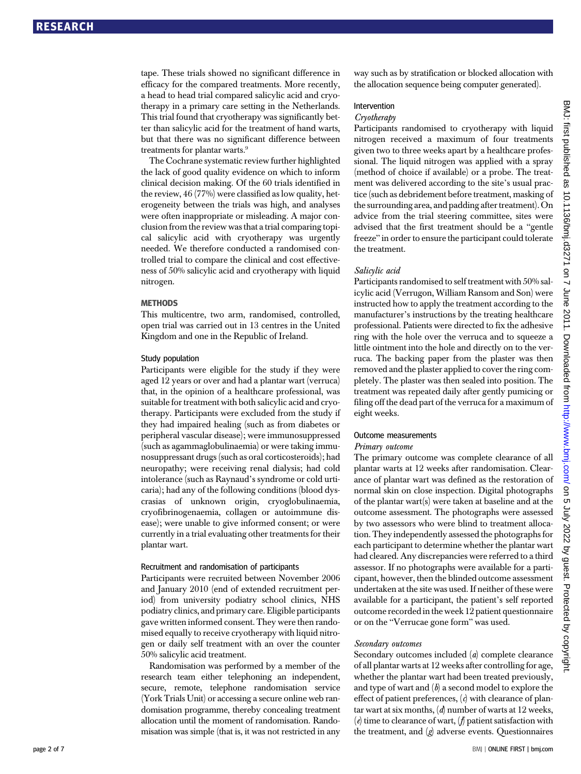tape. These trials showed no significant difference in efficacy for the compared treatments. More recently, a head to head trial compared salicylic acid and cryotherapy in a primary care setting in the Netherlands. This trial found that cryotherapy was significantly better than salicylic acid for the treatment of hand warts, but that there was no significant difference between treatments for plantar warts.<sup>9</sup>

The Cochrane systematic review further highlighted the lack of good quality evidence on which to inform clinical decision making. Of the 60 trials identified in the review, 46 (77%) were classified as low quality, heterogeneity between the trials was high, and analyses were often inappropriate or misleading. A major conclusion from the review was that a trial comparing topical salicylic acid with cryotherapy was urgently needed. We therefore conducted a randomised controlled trial to compare the clinical and cost effectiveness of 50% salicylic acid and cryotherapy with liquid nitrogen.

#### **METHODS**

This multicentre, two arm, randomised, controlled, open trial was carried out in 13 centres in the United Kingdom and one in the Republic of Ireland.

#### Study population

Participants were eligible for the study if they were aged 12 years or over and had a plantar wart (verruca) that, in the opinion of a healthcare professional, was suitable for treatment with both salicylic acid and cryotherapy. Participants were excluded from the study if they had impaired healing (such as from diabetes or peripheral vascular disease); were immunosuppressed (such as agammaglobulinaemia) or were taking immunosuppressant drugs (such as oral corticosteroids); had neuropathy; were receiving renal dialysis; had cold intolerance (such as Raynaud's syndrome or cold urticaria); had any of the following conditions (blood dyscrasias of unknown origin, cryoglobulinaemia, cryofibrinogenaemia, collagen or autoimmune disease); were unable to give informed consent; or were currently in a trial evaluating other treatments for their plantar wart.

#### Recruitment and randomisation of participants

Participants were recruited between November 2006 and January 2010 (end of extended recruitment period) from university podiatry school clinics, NHS podiatry clinics, and primary care. Eligible participants gave written informed consent. They were then randomised equally to receive cryotherapy with liquid nitrogen or daily self treatment with an over the counter 50% salicylic acid treatment.

Randomisation was performed by a member of the research team either telephoning an independent, secure, remote, telephone randomisation service (York Trials Unit) or accessing a secure online web randomisation programme, thereby concealing treatment allocation until the moment of randomisation. Randomisation was simple (that is, it was not restricted in any way such as by stratification or blocked allocation with the allocation sequence being computer generated).

#### Intervention

#### **Cryotherapy**

Participants randomised to cryotherapy with liquid nitrogen received a maximum of four treatments given two to three weeks apart by a healthcare professional. The liquid nitrogen was applied with a spray (method of choice if available) or a probe. The treatment was delivered according to the site's usual practice (such as debridement before treatment, masking of the surrounding area, and padding after treatment). On advice from the trial steering committee, sites were advised that the first treatment should be a "gentle freeze" in order to ensure the participant could tolerate the treatment.

#### Salicylic acid

Participants randomised to self treatment with 50% salicylic acid (Verrugon, William Ransom and Son) were instructed how to apply the treatment according to the manufacturer's instructions by the treating healthcare professional. Patients were directed to fix the adhesive ring with the hole over the verruca and to squeeze a little ointment into the hole and directly on to the verruca. The backing paper from the plaster was then removed and the plaster applied to cover the ring completely. The plaster was then sealed into position. The treatment was repeated daily after gently pumicing or filing off the dead part of the verruca for a maximum of eight weeks.

#### Outcome measurements

#### Primary outcome

The primary outcome was complete clearance of all plantar warts at 12 weeks after randomisation. Clearance of plantar wart was defined as the restoration of normal skin on close inspection. Digital photographs of the plantar wart(s) were taken at baseline and at the outcome assessment. The photographs were assessed by two assessors who were blind to treatment allocation. They independently assessed the photographs for each participant to determine whether the plantar wart had cleared. Any discrepancies were referred to a third assessor. If no photographs were available for a participant, however, then the blinded outcome assessment undertaken at the site was used. If neither of these were available for a participant, the patient's self reported outcome recorded in the week 12 patient questionnaire or on the "Verrucae gone form" was used.

#### Secondary outcomes

Secondary outcomes included (a) complete clearance of all plantar warts at 12 weeks after controlling for age, whether the plantar wart had been treated previously, and type of wart and  $(b)$  a second model to explore the effect of patient preferences,  $(c)$  with clearance of plantar wart at six months,  $(d)$  number of warts at 12 weeks,  $(e)$  time to clearance of wart,  $(f)$  patient satisfaction with the treatment, and  $(g)$  adverse events. Questionnaires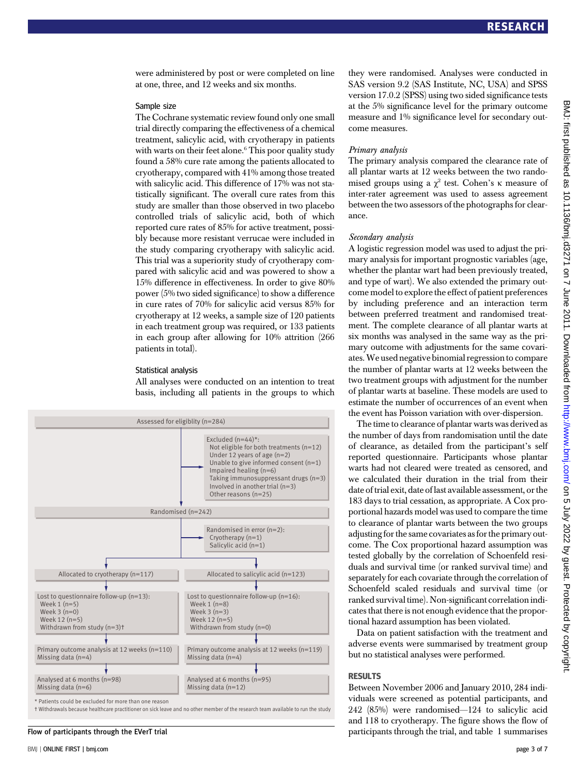were administered by post or were completed on line at one, three, and 12 weeks and six months.

#### Sample size

The Cochrane systematic review found only one small trial directly comparing the effectiveness of a chemical treatment, salicylic acid, with cryotherapy in patients with warts on their feet alone.<sup>6</sup> This poor quality study found a 58% cure rate among the patients allocated to cryotherapy, compared with 41% among those treated with salicylic acid. This difference of 17% was not statistically significant. The overall cure rates from this study are smaller than those observed in two placebo controlled trials of salicylic acid, both of which reported cure rates of 85% for active treatment, possibly because more resistant verrucae were included in the study comparing cryotherapy with salicylic acid. This trial was a superiority study of cryotherapy compared with salicylic acid and was powered to show a 15% difference in effectiveness. In order to give 80% power (5% two sided significance) to show a difference in cure rates of 70% for salicylic acid versus 85% for cryotherapy at 12 weeks, a sample size of 120 patients in each treatment group was required, or 133 patients in each group after allowing for 10% attrition (266 patients in total).

#### Statistical analysis

All analyses were conducted on an intention to treat basis, including all patients in the groups to which



Flow of participants through the EVerT trial

they were randomised. Analyses were conducted in SAS version 9.2 (SAS Institute, NC, USA) and SPSS version 17.0.2 (SPSS) using two sided significance tests at the 5% significance level for the primary outcome measure and 1% significance level for secondary outcome measures.

#### Primary analysis

The primary analysis compared the clearance rate of all plantar warts at 12 weeks between the two randomised groups using a  $\gamma^2$  test. Cohen's κ measure of inter-rater agreement was used to assess agreement between the two assessors of the photographs for clearance.

#### Secondary analysis

A logistic regression model was used to adjust the primary analysis for important prognostic variables (age, whether the plantar wart had been previously treated, and type of wart). We also extended the primary outcome model to explore the effect of patient preferences by including preference and an interaction term between preferred treatment and randomised treatment. The complete clearance of all plantar warts at six months was analysed in the same way as the primary outcome with adjustments for the same covariates.We used negative binomial regression to compare the number of plantar warts at 12 weeks between the two treatment groups with adjustment for the number of plantar warts at baseline. These models are used to estimate the number of occurrences of an event when the event has Poisson variation with over-dispersion.

The time to clearance of plantar warts was derived as the number of days from randomisation until the date of clearance, as detailed from the participant's self reported questionnaire. Participants whose plantar warts had not cleared were treated as censored, and we calculated their duration in the trial from their date of trial exit, date of last available assessment, or the 183 days to trial cessation, as appropriate. A Cox proportional hazards model was used to compare the time to clearance of plantar warts between the two groups adjusting for the same covariates as for the primary outcome. The Cox proportional hazard assumption was tested globally by the correlation of Schoenfeld residuals and survival time (or ranked survival time) and separately for each covariate through the correlation of Schoenfeld scaled residuals and survival time (or ranked survival time). Non-significant correlation indicates that there is not enough evidence that the proportional hazard assumption has been violated.

Data on patient satisfaction with the treatment and adverse events were summarised by treatment group but no statistical analyses were performed.

#### RESULTS

Between November 2006 and January 2010, 284 individuals were screened as potential participants, and 242 (85%) were randomised—124 to salicylic acid and 118 to cryotherapy. The figure shows the flow of participants through the trial, and table 1 summarises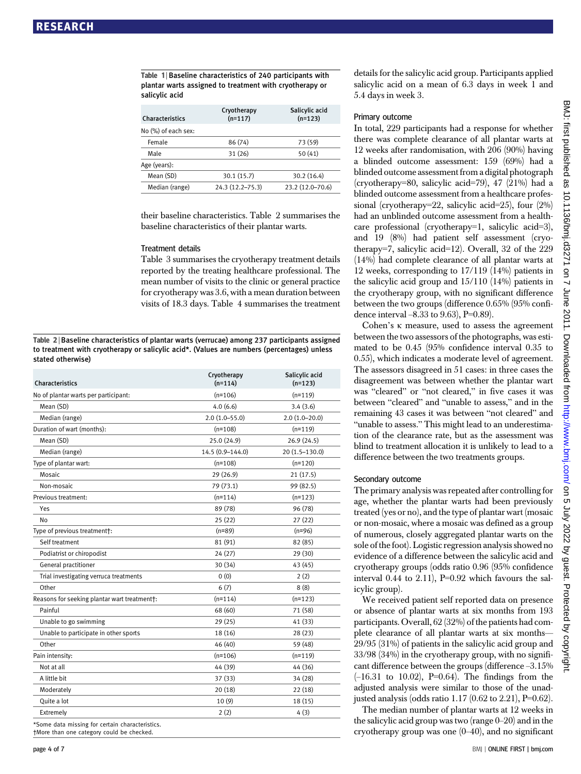Table 1 | Baseline characteristics of 240 participants with plantar warts assigned to treatment with cryotherapy or salicylic acid

| Characteristics     | Cryotherapy<br>$(n=117)$ | Salicylic acid<br>$(n=123)$ |  |  |
|---------------------|--------------------------|-----------------------------|--|--|
| No (%) of each sex: |                          |                             |  |  |
| Female              | 86 (74)                  | 73 (59)                     |  |  |
| Male                | 31 (26)                  | 50(41)                      |  |  |
| Age (years):        |                          |                             |  |  |
| Mean (SD)           | 30.1(15.7)               | 30.2(16.4)                  |  |  |
| Median (range)      | 24.3 (12.2-75.3)         | 23.2 (12.0-70.6)            |  |  |

their baseline characteristics. Table 2 summarises the baseline characteristics of their plantar warts.

#### Treatment details

Table 3 summarises the cryotherapy treatment details reported by the treating healthcare professional. The mean number of visits to the clinic or general practice for cryotherapy was 3.6, with a mean duration between visits of 18.3 days. Table 4 summarises the treatment

Table 2 <sup>|</sup> Baseline characteristics of plantar warts (verrucae) among 237 participants assigned to treatment with cryotherapy or salicylic acid\*. (Values are numbers (percentages) unless stated otherwise)

| <b>Characteristics</b>                                                                       | Cryotherapy<br>$(n=114)$ | Salicylic acid<br>$(n=123)$ |
|----------------------------------------------------------------------------------------------|--------------------------|-----------------------------|
| No of plantar warts per participant:                                                         | $(n=106)$                | $(n=119)$                   |
| Mean (SD)                                                                                    | 4.0(6.6)                 | 3.4(3.6)                    |
| Median (range)                                                                               | $2.0(1.0 - 55.0)$        | $2.0(1.0-20.0)$             |
| Duration of wart (months):                                                                   | $(n=108)$                | $(n=119)$                   |
| Mean (SD)                                                                                    | 25.0 (24.9)              | 26.9(24.5)                  |
| Median (range)                                                                               | 14.5 (0.9-144.0)         | 20 (1.5-130.0)              |
| Type of plantar wart:                                                                        | $(n=108)$                | $(n=120)$                   |
| Mosaic                                                                                       | 29 (26.9)                | 21(17.5)                    |
| Non-mosaic                                                                                   | 79 (73.1)                | 99 (82.5)                   |
| Previous treatment:                                                                          | $(n=114)$                | $(n=123)$                   |
| Yes                                                                                          | 89 (78)                  | 96 (78)                     |
| No                                                                                           | 25(22)                   | 27(22)                      |
| Type of previous treatment†:                                                                 | $(n=89)$                 | $(n=96)$                    |
| Self treatment                                                                               | 81 (91)                  | 82 (85)                     |
| Podiatrist or chiropodist                                                                    | 24(27)                   | 29 (30)                     |
| General practitioner                                                                         | 30 (34)                  | 43 (45)                     |
| Trial investigating verruca treatments                                                       | 0(0)                     | 2(2)                        |
| Other                                                                                        | 6(7)                     | 8(8)                        |
| Reasons for seeking plantar wart treatment†:                                                 | $(n=114)$                | $(n=123)$                   |
| Painful                                                                                      | 68 (60)                  | 71 (58)                     |
| Unable to go swimming                                                                        | 29(25)                   | 41 (33)                     |
| Unable to participate in other sports                                                        | 18 (16)                  | 28 (23)                     |
| Other                                                                                        | 46 (40)                  | 59 (48)                     |
| Pain intensity:                                                                              | $(n=106)$                | $(n=119)$                   |
| Not at all                                                                                   | 44 (39)                  | 44 (36)                     |
| A little bit                                                                                 | 37 (33)                  | 34 (28)                     |
| Moderately                                                                                   | 20(18)                   | 22(18)                      |
| Quite a lot                                                                                  | 10(9)                    | 18(15)                      |
| Extremely                                                                                    | 2(2)                     | 4(3)                        |
| *Some data missing for certain characteristics.<br>†More than one category could be checked. |                          |                             |

details for the salicylic acid group. Participants applied salicylic acid on a mean of 6.3 days in week 1 and 5.4 days in week 3.

#### Primary outcome

In total, 229 participants had a response for whether there was complete clearance of all plantar warts at 12 weeks after randomisation, with 206 (90%) having a blinded outcome assessment: 159 (69%) had a blinded outcome assessment from a digital photograph (cryotherapy=80, salicylic acid=79), 47 (21%) had a blinded outcome assessment from a healthcare professional (cryotherapy=22, salicylic acid=25), four (2%) had an unblinded outcome assessment from a healthcare professional (cryotherapy=1, salicylic acid=3), and 19 (8%) had patient self assessment (cryotherapy=7, salicylic acid=12). Overall, 32 of the 229 (14%) had complete clearance of all plantar warts at 12 weeks, corresponding to 17/119 (14%) patients in the salicylic acid group and 15/110 (14%) patients in the cryotherapy group, with no significant difference between the two groups (difference 0.65% (95% confidence interval  $-8.33$  to 9.63), P=0.89).

Cohen's κ measure, used to assess the agreement between the two assessors of the photographs, was estimated to be 0.45 (95% confidence interval 0.35 to 0.55), which indicates a moderate level of agreement. The assessors disagreed in 51 cases: in three cases the disagreement was between whether the plantar wart was "cleared" or "not cleared," in five cases it was between "cleared" and "unable to assess," and in the remaining 43 cases it was between "not cleared" and "unable to assess." This might lead to an underestimation of the clearance rate, but as the assessment was blind to treatment allocation it is unlikely to lead to a difference between the two treatments groups.

#### Secondary outcome

The primary analysis was repeated after controlling for age, whether the plantar warts had been previously treated (yes or no), and the type of plantar wart (mosaic or non-mosaic, where a mosaic was defined as a group of numerous, closely aggregated plantar warts on the sole of the foot). Logistic regression analysis showed no evidence of a difference between the salicylic acid and cryotherapy groups (odds ratio 0.96 (95% confidence interval  $0.44$  to  $2.11$ ), P=0.92 which favours the salicylic group).

We received patient self reported data on presence or absence of plantar warts at six months from 193 participants. Overall, 62 (32%) of the patients had complete clearance of all plantar warts at six months— 29/95 (31%) of patients in the salicylic acid group and 33/98 (34%) in the cryotherapy group, with no significant difference between the groups (difference –3.15%  $(-16.31 \text{ to } 10.02)$ , P=0.64). The findings from the adjusted analysis were similar to those of the unadjusted analysis (odds ratio  $1.17$  (0.62 to  $2.21$ ), P=0.62).

The median number of plantar warts at 12 weeks in the salicylic acid group was two (range  $0-20$ ) and in the cryotherapy group was one  $(0-40)$ , and no significant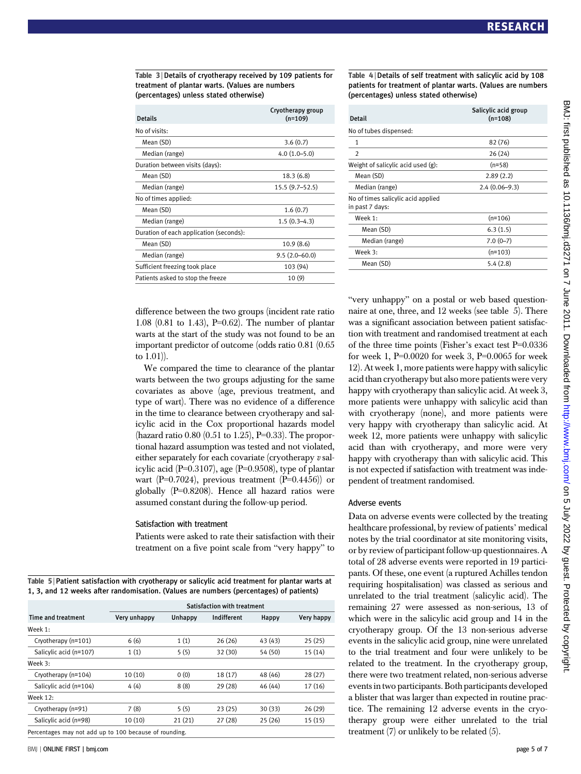Table 3 <sup>|</sup> Details of cryotherapy received by 109 patients for treatment of plantar warts. (Values are numbers (percentages) unless stated otherwise)

| <b>Details</b>                          | Cryotherapy group<br>$(n=109)$ |
|-----------------------------------------|--------------------------------|
| No of visits:                           |                                |
| Mean (SD)                               | 3.6(0.7)                       |
| Median (range)                          | $4.0(1.0-5.0)$                 |
| Duration between visits (days):         |                                |
| Mean (SD)                               | 18.3(6.8)                      |
| Median (range)                          | $15.5(9.7-52.5)$               |
| No of times applied:                    |                                |
| Mean (SD)                               | 1.6(0.7)                       |
| Median (range)                          | $1.5(0.3-4.3)$                 |
| Duration of each application (seconds): |                                |
| Mean (SD)                               | 10.9(8.6)                      |
| Median (range)                          | $9.5(2.0 - 60.0)$              |
| Sufficient freezing took place          | 103 (94)                       |
| Patients asked to stop the freeze       | 10(9)                          |

Table 4 | Details of self treatment with salicylic acid by 108 patients for treatment of plantar warts. (Values are numbers (percentages) unless stated otherwise)

| <b>Detail</b>                                         | Salicylic acid group<br>$(n=108)$ |  |  |
|-------------------------------------------------------|-----------------------------------|--|--|
| No of tubes dispensed:                                |                                   |  |  |
| 1                                                     | 82 (76)                           |  |  |
| $\overline{2}$                                        | 26(24)                            |  |  |
| Weight of salicylic acid used (g):                    | $(n=58)$                          |  |  |
| Mean (SD)                                             | 2.89(2.2)                         |  |  |
| Median (range)                                        | $2.4(0.06 - 9.3)$                 |  |  |
| No of times salicylic acid applied<br>in past 7 days: |                                   |  |  |
| Week 1:                                               | $(n=106)$                         |  |  |
| Mean (SD)                                             | 6.3(1.5)                          |  |  |
| Median (range)                                        | $7.0(0-7)$                        |  |  |
| Week 3:                                               | $(n=103)$                         |  |  |
| Mean (SD)                                             | 5.4(2.8)                          |  |  |
|                                                       |                                   |  |  |

difference between the two groups (incident rate ratio 1.08 (0.81 to 1.43), P=0.62). The number of plantar warts at the start of the study was not found to be an important predictor of outcome (odds ratio 0.81 (0.65 to 1.01)).

We compared the time to clearance of the plantar warts between the two groups adjusting for the same covariates as above (age, previous treatment, and type of wart). There was no evidence of a difference in the time to clearance between cryotherapy and salicylic acid in the Cox proportional hazards model (hazard ratio  $0.80$  ( $0.51$  to  $1.25$ ), P=0.33). The proportional hazard assumption was tested and not violated, either separately for each covariate (cryotherapy v salicylic acid  $(P=0.3107)$ , age  $(P=0.9508)$ , type of plantar wart (P=0.7024), previous treatment (P=0.4456)) or globally (P=0.8208). Hence all hazard ratios were assumed constant during the follow-up period.

#### Satisfaction with treatment

Patients were asked to rate their satisfaction with their treatment on a five point scale from "very happy" to

Table 5 <sup>|</sup> Patient satisfaction with cryotherapy or salicylic acid treatment for plantar warts at 1, 3, and 12 weeks after randomisation. (Values are numbers (percentages) of patients)

|                                                        | Satisfaction with treatment |         |             |              |            |  |
|--------------------------------------------------------|-----------------------------|---------|-------------|--------------|------------|--|
| Time and treatment                                     | Very unhappy                | Unhappy | Indifferent | <b>Happy</b> | Very happy |  |
| Week 1:                                                |                             |         |             |              |            |  |
| Cryotherapy (n=101)                                    | 6(6)                        | 1(1)    | 26(26)      | 43 (43)      | 25(25)     |  |
| Salicylic acid (n=107)                                 | 1(1)                        | 5(5)    | 32 (30)     | 54 (50)      | 15(14)     |  |
| Week 3:                                                |                             |         |             |              |            |  |
| Cryotherapy (n=104)                                    | 10(10)                      | 0(0)    | 18(17)      | 48 (46)      | 28(27)     |  |
| Salicylic acid (n=104)                                 | 4(4)                        | 8(8)    | 29 (28)     | 46(44)       | 17(16)     |  |
| <b>Week 12:</b>                                        |                             |         |             |              |            |  |
| Cryotherapy (n=91)                                     | 7(8)                        | 5(5)    | 23(25)      | 30(33)       | 26(29)     |  |
| Salicylic acid (n=98)                                  | 10(10)                      | 21(21)  | 27(28)      | 25(26)       | 15(15)     |  |
| Percentages may not add up to 100 because of rounding. |                             |         |             |              |            |  |

"very unhappy" on a postal or web based questionnaire at one, three, and 12 weeks (see table 5). There was a significant association between patient satisfaction with treatment and randomised treatment at each of the three time points (Fisher's exact test P=0.0336 for week 1, P=0.0020 for week 3, P=0.0065 for week 12). At week 1, more patients were happy with salicylic acid than cryotherapy but also more patients were very happy with cryotherapy than salicylic acid. At week 3, more patients were unhappy with salicylic acid than with cryotherapy (none), and more patients were very happy with cryotherapy than salicylic acid. At week 12, more patients were unhappy with salicylic acid than with cryotherapy, and more were very happy with cryotherapy than with salicylic acid. This is not expected if satisfaction with treatment was independent of treatment randomised.

#### Adverse events

Data on adverse events were collected by the treating healthcare professional, by review of patients' medical notes by the trial coordinator at site monitoring visits, or by review of participant follow-up questionnaires. A total of 28 adverse events were reported in 19 participants. Of these, one event (a ruptured Achilles tendon requiring hospitalisation) was classed as serious and unrelated to the trial treatment (salicylic acid). The remaining 27 were assessed as non-serious, 13 of which were in the salicylic acid group and 14 in the cryotherapy group. Of the 13 non-serious adverse events in the salicylic acid group, nine were unrelated to the trial treatment and four were unlikely to be related to the treatment. In the cryotherapy group, there were two treatment related, non-serious adverse events in two participants. Both participants developed a blister that was larger than expected in routine practice. The remaining 12 adverse events in the cryotherapy group were either unrelated to the trial treatment (7) or unlikely to be related (5).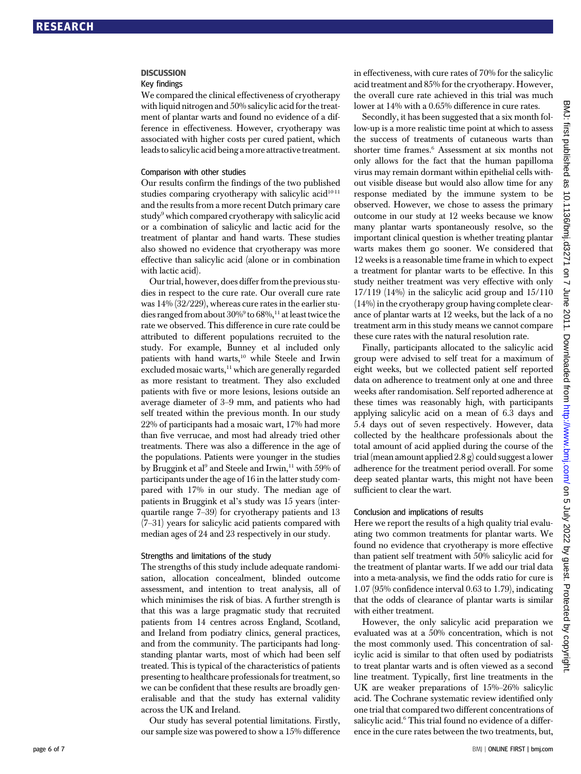#### **DISCUSSION**

#### Key findings

We compared the clinical effectiveness of cryotherapy with liquid nitrogen and 50% salicylic acid for the treatment of plantar warts and found no evidence of a difference in effectiveness. However, cryotherapy was associated with higher costs per cured patient, which leads to salicylic acid being a more attractive treatment.

#### Comparison with other studies

Our results confirm the findings of the two published studies comparing cryotherapy with salicylic acid<sup>1011</sup> and the results from a more recent Dutch primary care study<sup>9</sup> which compared cryotherapy with salicylic acid or a combination of salicylic and lactic acid for the treatment of plantar and hand warts. These studies also showed no evidence that cryotherapy was more effective than salicylic acid (alone or in combination with lactic acid).

Our trial, however, does differ from the previous studies in respect to the cure rate. Our overall cure rate was 14% (32/229), whereas cure rates in the earlier studies ranged from about  $30\%$ <sup>9</sup> to  $68\%$ ,<sup>11</sup> at least twice the rate we observed. This difference in cure rate could be attributed to different populations recruited to the study. For example, Bunney et al included only patients with hand warts,<sup>10</sup> while Steele and Irwin  $excluded$  mosaic warts, $11$  which are generally regarded as more resistant to treatment. They also excluded patients with five or more lesions, lesions outside an average diameter of 3–9 mm, and patients who had self treated within the previous month. In our study 22% of participants had a mosaic wart, 17% had more than five verrucae, and most had already tried other treatments. There was also a difference in the age of the populations. Patients were younger in the studies by Bruggink et al<sup>9</sup> and Steele and Irwin,  $^{\rm 11}$  with 59% of participants under the age of 16 in the latter study compared with 17% in our study. The median age of patients in Bruggink et al's study was 15 years (interquartile range 7–39) for cryotherapy patients and 13 (7–31) years for salicylic acid patients compared with median ages of 24 and 23 respectively in our study.

#### Strengths and limitations of the study

The strengths of this study include adequate randomisation, allocation concealment, blinded outcome assessment, and intention to treat analysis, all of which minimises the risk of bias. A further strength is that this was a large pragmatic study that recruited patients from 14 centres across England, Scotland, and Ireland from podiatry clinics, general practices, and from the community. The participants had longstanding plantar warts, most of which had been self treated. This is typical of the characteristics of patients presenting to healthcare professionals for treatment, so we can be confident that these results are broadly generalisable and that the study has external validity across the UK and Ireland.

Our study has several potential limitations. Firstly, our sample size was powered to show a 15% difference in effectiveness, with cure rates of 70% for the salicylic acid treatment and 85% for the cryotherapy. However, the overall cure rate achieved in this trial was much lower at 14% with a 0.65% difference in cure rates.

Secondly, it has been suggested that a six month follow-up is a more realistic time point at which to assess the success of treatments of cutaneous warts than shorter time frames.<sup>6</sup> Assessment at six months not only allows for the fact that the human papilloma virus may remain dormant within epithelial cells without visible disease but would also allow time for any response mediated by the immune system to be observed. However, we chose to assess the primary outcome in our study at 12 weeks because we know many plantar warts spontaneously resolve, so the important clinical question is whether treating plantar warts makes them go sooner. We considered that 12 weeks is a reasonable time frame in which to expect a treatment for plantar warts to be effective. In this study neither treatment was very effective with only 17/119 (14%) in the salicylic acid group and 15/110 (14%) in the cryotherapy group having complete clearance of plantar warts at 12 weeks, but the lack of a no treatment arm in this study means we cannot compare these cure rates with the natural resolution rate.

Finally, participants allocated to the salicylic acid group were advised to self treat for a maximum of eight weeks, but we collected patient self reported data on adherence to treatment only at one and three weeks after randomisation. Self reported adherence at these times was reasonably high, with participants applying salicylic acid on a mean of 6.3 days and 5.4 days out of seven respectively. However, data collected by the healthcare professionals about the total amount of acid applied during the course of the trial (mean amount applied 2.8 g) could suggest a lower adherence for the treatment period overall. For some deep seated plantar warts, this might not have been sufficient to clear the wart.

#### Conclusion and implications of results

Here we report the results of a high quality trial evaluating two common treatments for plantar warts. We found no evidence that cryotherapy is more effective than patient self treatment with 50% salicylic acid for the treatment of plantar warts. If we add our trial data into a meta-analysis, we find the odds ratio for cure is 1.07 (95% confidence interval 0.63 to 1.79), indicating that the odds of clearance of plantar warts is similar with either treatment.

However, the only salicylic acid preparation we evaluated was at a 50% concentration, which is not the most commonly used. This concentration of salicylic acid is similar to that often used by podiatrists to treat plantar warts and is often viewed as a second line treatment. Typically, first line treatments in the UK are weaker preparations of 15%–26% salicylic acid. The Cochrane systematic review identified only one trial that compared two different concentrations of salicylic acid.<sup>6</sup> This trial found no evidence of a difference in the cure rates between the two treatments, but,